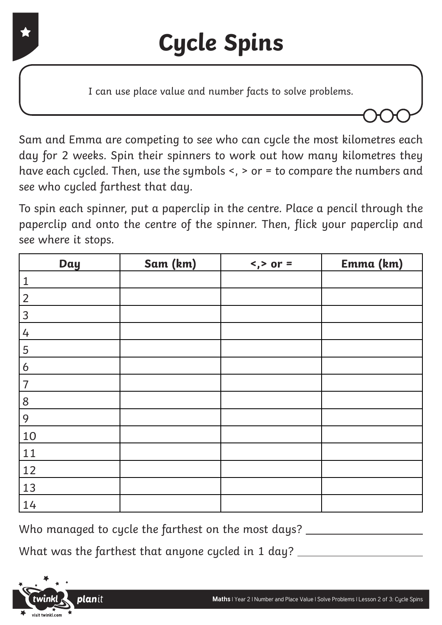I can use place value and number facts to solve problems.

Sam and Emma are competing to see who can cycle the most kilometres each day for 2 weeks. Spin their spinners to work out how many kilometres they have each cycled. Then, use the symbols <, > or = to compare the numbers and see who cycled farthest that day.

To spin each spinner, put a paperclip in the centre. Place a pencil through the paperclip and onto the centre of the spinner. Then, flick your paperclip and see where it stops.

| <b>Day</b>     | Sam (km) | $\langle$ , > or = | Emma (km) |
|----------------|----------|--------------------|-----------|
| $\mathbf 1$    |          |                    |           |
| $\overline{2}$ |          |                    |           |
| 3              |          |                    |           |
| 4              |          |                    |           |
| 5              |          |                    |           |
| 6              |          |                    |           |
| $\overline{7}$ |          |                    |           |
| 8              |          |                    |           |
| 9              |          |                    |           |
| 10             |          |                    |           |
| 11             |          |                    |           |
| 12             |          |                    |           |
| 13             |          |                    |           |
| 14             |          |                    |           |

Who managed to cycle the farthest on the most days? \_\_\_\_\_\_\_

What was the farthest that anyone cycled in 1 day?

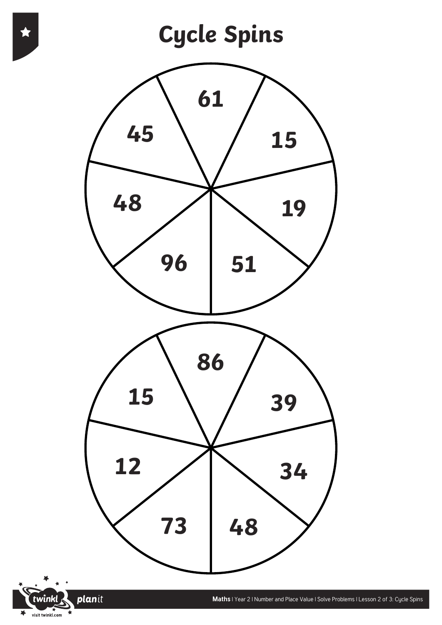

planit

twinkl visit twinkl.com

 $\overline{\blacktriangledown}$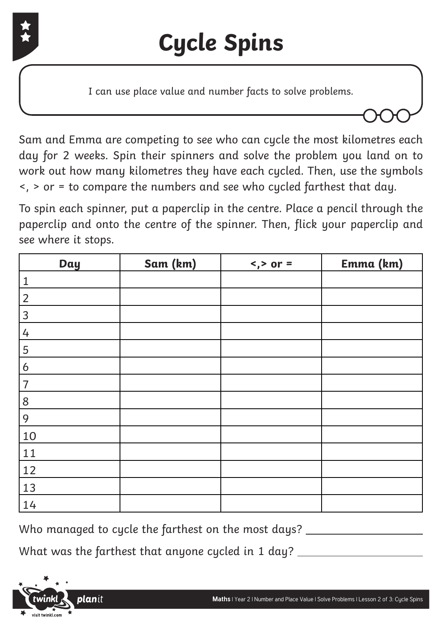

I can use place value and number facts to solve problems.

Sam and Emma are competing to see who can cycle the most kilometres each day for 2 weeks. Spin their spinners and solve the problem you land on to work out how many kilometres they have each cycled. Then, use the symbols <, > or = to compare the numbers and see who cycled farthest that day.

To spin each spinner, put a paperclip in the centre. Place a pencil through the paperclip and onto the centre of the spinner. Then, flick your paperclip and see where it stops.

| <b>Day</b>     | Sam (km) | $\langle$ , > or = | Emma (km) |
|----------------|----------|--------------------|-----------|
| $\mathbf{1}$   |          |                    |           |
| $\overline{2}$ |          |                    |           |
| 3              |          |                    |           |
| 4              |          |                    |           |
| 5              |          |                    |           |
| 6              |          |                    |           |
| $\overline{7}$ |          |                    |           |
| 8              |          |                    |           |
| 9              |          |                    |           |
| 10             |          |                    |           |
| 11             |          |                    |           |
| 12             |          |                    |           |
| 13             |          |                    |           |
| 14             |          |                    |           |

Who managed to cycle the farthest on the most days?

What was the farthest that anyone cycled in 1 day?

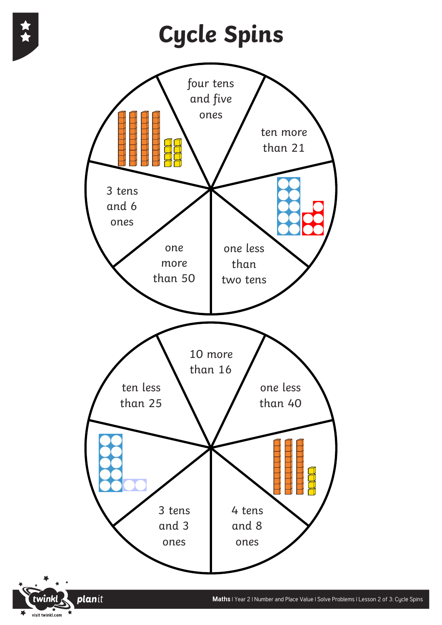visit twinkl.com

 $\blacktriangleright$ 

### **Cycle Spins**

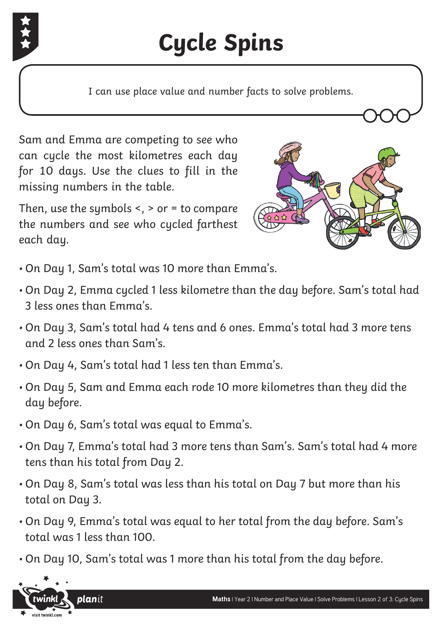

# **Cycle Spins**

I can use place value and number facts to solve problems.

Sam and Emma are competing to see who can cycle the most kilometres each day for 10 days. Use the clues to fill in the missing numbers in the table.

Then, use the symbols  $\leq$ ,  $>$  or  $=$  to compare the numbers and see who cycled farthest each day.



- On Day 1, Sam's total was 10 more than Emma's.
- On Day 2, Emma cycled 1 less kilometre than the day before. Sam's total had 3 less ones than Emma's.
- On Day 3, Sam's total had 4 tens and 6 ones. Emma's total had 3 more tens and 2 less ones than Sam's.
- On Day 4, Sam's total had 1 less ten than Emma's.
- On Day 5, Sam and Emma each rode 10 more kilometres than they did the day before.
- On Day 6, Sam's total was equal to Emma's.
- On Day 7, Emma's total had 3 more tens than Sam's. Sam's total had 4 more tens than his total from Day 2.
- On Day 8, Sam's total was less than his total on Day 7 but more than his total on Day 3.
- On Day 9, Emma's total was equal to her total from the day before. Sam's total was 1 less than 100.
- On Day 10, Sam's total was 1 more than his total from the day before.

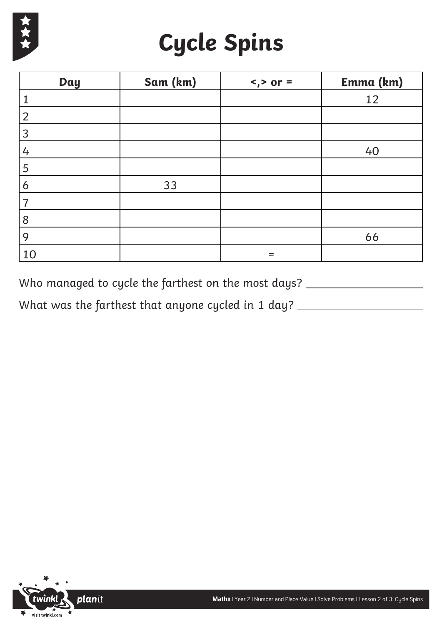

## **Cycle Spins**

| Day            | Sam (km) | $\langle$ , > or = | Emma (km) |
|----------------|----------|--------------------|-----------|
|                |          |                    | 12        |
| $\overline{2}$ |          |                    |           |
| 3              |          |                    |           |
| 4              |          |                    | 40        |
| 5              |          |                    |           |
| 6              | 33       |                    |           |
|                |          |                    |           |
| 8              |          |                    |           |
| 9              |          |                    | 66        |
| 10             |          | $=$                |           |

Who managed to cycle the farthest on the most days?

What was the farthest that anyone cycled in 1 day? \_\_\_\_\_\_\_\_\_\_\_\_\_\_\_\_\_\_\_\_\_\_\_\_\_\_\_\_\_